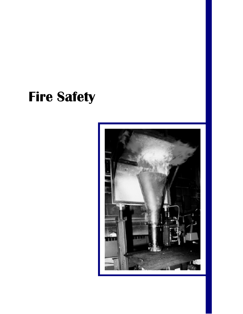# **Fire Safety**

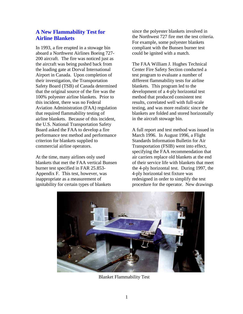# **A New Flammability Test for Airline Blankets**

In 1993, a fire erupted in a stowage bin aboard a Northwest Airlines Boeing 727- 200 aircraft. The fire was noticed just as the aircraft was being pushed back from the loading gate at Dorval International Airport in Canada. Upon completion of their investigation, the Transportation Safety Board (TSB) of Canada determined that the original source of the fire was the 100% polyester airline blankets. Prior to this incident, there was no Federal Aviation Administration (FAA) regulation that required flammability testing of airline blankets. Because of this incident, the U.S. National Transportation Safety Board asked the FAA to develop a fire performance test method and performance criterion for blankets supplied to commercial airline operators.

At the time, many airlines only used blankets that met the FAA vertical Bunsen burner test specified in FAR 25.853- Appendix F. This test, however, was inappropriate as a measurement of ignitability for certain types of blankets

since the polyester blankets involved in the Northwest 727 fire met the test criteria. For example, some polyester blankets compliant with the Bunsen burner test could be ignited with a match.

The FAA William J. Hughes Technical Center Fire Safety Section conducted a test program to evaluate a number of different flammability tests for airline blankets. This program led to the development of a 4-ply horizontal test method that produced consistent test results, correlated well with full-scale testing, and was more realistic since the blankets are folded and stored horizontally in the aircraft stowage bin.

A full report and test method was issued in March 1996. In August 1996, a Flight Standards Information Bulletin for Air Transportation (FSIB) went into effect, specifying the FAA recommendation that air carriers replace old blankets at the end of their service life with blankets that meet the 4-ply horizontal test. During 1997, the 4-ply horizontal test fixture was redesigned in order to simplify the test procedure for the operator. New drawings



Blanket Flammability Test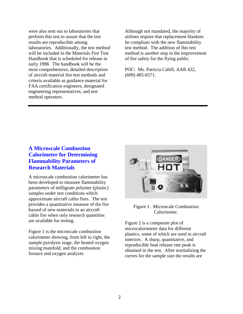were also sent out to laboratories that perform this test to assure that the test results are reproducible among laboratories. Additionally, the test method will be included in the Materials Fire Test Handbook that is scheduled for release in early 1998. The handbook will be the most comprehensive, detailed description of aircraft material fire test methods and criteria available as guidance material for FAA certification engineers, designated engineering representatives, and test method operators.

Although not mandated, the majority of airlines require that replacement blankets be compliant with the new flammability test method. The addition of this test method is another step in the improvement of fire safety for the flying public.

POC: Ms. Patricia Cahill, AAR 422, (609) 485-6571.

# **A Microscale Combustion Calorimeter for Determining Flammability Parameters of Research Materials**

A microscale combustion calorimeter has been developed to measure flammability parameters of milligram polymer (plastic) samples under test conditions which approximate aircraft cabin fires. The test provides a quantitative measure of the fire hazard of new materials in an aircraft cabin fire when only research quantities are available for testing.

Figure 1 is the microscale combustion calorimeter showing, from left to right, the sample pyrolysis stage, the heated oxygen mixing manifold, and the combustion furnace and oxygen analyzer.



Figure 1. Microscale Combustion Calorimeter.

Figure 2 is a composite plot of microcalorimeter data for different plastics, some of which are used in aircraft interiors. A sharp, quantitative, and reproducible heat release rate peak is obtained in the test. After normalizing the curves for the sample size the results are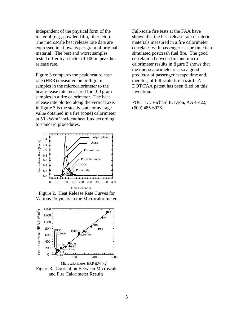independent of the physical form of the material (e.g., powder, film, fiber, etc.). The microscale heat release rate data are expressed in kilowatts per gram of original material. The best and worst samples tested differ by a factor of 100 in peak heat release rate.

Figure 3 compares the peak heat release rate (HRR) measured on milligram samples in the microcalorimeter to the heat release rate measured for 100 gram samples in a fire calorimeter. The heat release rate plotted along the vertical axis in figure 3 is the steady-state or average value obtained in a fire (cone) calorimeter at 50 kW/m2 incident heat flux according to standard procedures.



Figure 2. Heat Release Rate Curves for Various Polymers in the Microcalorimeter.



and Fire Calorimeter Results.

Full-scale fire tests at the FAA have shown that the heat release rate of interior materials measured in a fire calorimeter correlates with passenger escape time in a simulated postcrash fuel fire. The good correlation between fire and microcalorimeter results in figure 3 shows that the microcalorimeter is also a good predictor of passenger escape time and, therefor, of full-scale fire hazard. A DOT/FAA patent has been filed on this invention.

POC: Dr. Richard E. Lyon, AAR-422, (609) 485-6076.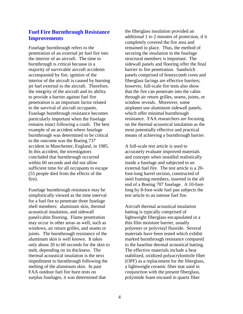## **Fuel Fire Burnthrough Resistance Improvements**

Fuselage burnthrough refers to the penetration of an external jet fuel fire into the interior of an aircraft. The time to burnthrough is critical because in a majority of survivable aircraft accidents accompanied by fire, ignition of the interior of the aircraft is caused by burning jet fuel external to the aircraft. Therefore, the integrity of the aircraft and its ability to provide a barrier against fuel fire penetration is an important factor related to the survival of aircraft occupants. Fuselage burnthrough resistance becomes particularly important when the fuselage remains intact following a crash. The best example of an accident where fuselage burnthrough was determined to be critical to the outcome was the Boeing 737 accident in Manchester, England, in 1985. In this accident, the investigators concluded that burnthrough occurred within 60 seconds and did not allow sufficient time for all occupants to escape (55 people died from the effects of the fire).

Fuselage burnthrough resistance may be simplistically viewed as the time interval for a fuel fire to penetrate three fuselage shell members: aluminum skin, thermal acoustical insulation, and sidewall panel/cabin flooring. Flame penetration may occur in other areas as well, such as windows, air return grilles, and seams or joints. The burnthrough resistance of the aluminum skin is well known. It takes only about 20 to 60 seconds for the skin to melt, depending on its thickness. The thermal acoustical insulation is the next impediment to burnthrough following the melting of the aluminum skin. In past FAA outdoor fuel fire burn tests on surplus fuselages, it was determined that

the fiberglass insulation provided an additional 1 to 2 minutes of protection, if it completely covered the fire area and remained in place. Thus, the method of securing the insulation to the fuselage structural members is important. The sidewall panels and flooring offer the final barrier to fire penetration. Sandwich panels comprised of honeycomb cores and fiberglass facings are effective barriers; however, full-scale fire tests also show that the fire can penetrate into the cabin through air return grilles, seams, joints, or window reveals. Moreover, some airplanes use aluminum sidewall panels, which offer minimal burnthrough resistance. FAA researchers are focusing on the thermal acoustical insulation as the most potentially effective and practical means of achieving a burnthrough barrier.

A full-scale test article is used to accurately evaluate improved materials and concepts when installed realistically inside a fuselage and subjected to an external fuel fire. The test article is a 20 foot-long barrel section, constructed of steel framing members, inserted in the aft end of a Boeing 707 fuselage. A 10-footlong by 8-foot-wide fuel pan subjects the test article to an intense fuel fire.

Aircraft thermal acoustical insulation batting is typically comprised of lightweight fiberglass encapsulated in a thin film moisture barrier, usually polyester or polyvinyl fluoride. Several materials have been tested which exhibit marked burnthrough resistance compared to the baseline thermal acoustical batting. The effective materials include a heat stabilized, oxidized polyacrylonitrile fiber (OPF) as a replacement for the fiberglass, a lightweight ceramic fiber mat used in conjunction with the present fiberglass, polyimide foam encased in quartz fiber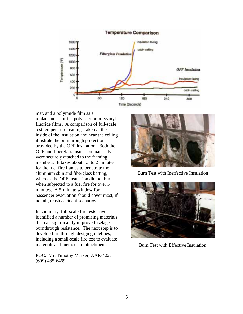

mat, and a polyimide film as a replacement for the polyester or polyvinyl fluoride films. A comparison of full-scale test temperature readings taken at the inside of the insulation and near the ceiling illustrate the burnthrough protection provided by the OPF insulation. Both the OPF and fiberglass insulation materials were securely attached to the framing members. It takes about 1.5 to 2 minutes for the fuel fire flames to penetrate the aluminum skin and fiberglass batting, whereas the OPF insulation did not burn when subjected to a fuel fire for over 5 minutes. A 5-minute window for passenger evacuation should cover most, if not all, crash accident scenarios.

In summary, full-scale fire tests have identified a number of promising materials that can significantly improve fuselage burnthrough resistance. The next step is to develop burnthrough design guidelines, including a small-scale fire test to evaluate materials and methods of attachment.

POC: Mr. Timothy Marker, AAR-422, (609) 485-6469.



Burn Test with Ineffective Insulation



Burn Test with Effective Insulation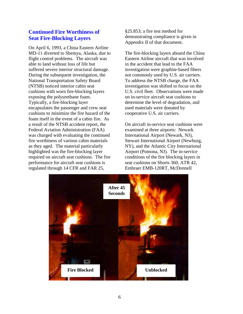## **Continued Fire Worthiness of Seat Fire-Blocking Layers**

On April 6, 1993, a China Eastern Airline MD-11 diverted to Shemya, Alaska, due to flight control problems. The aircraft was able to land without loss of life but suffered severe interior structural damage. During the subsequent investigation, the National Transportation Safety Board (NTSB) noticed interior cabin seat cushions with worn fire-blocking layers exposing the polyurethane foam. Typically, a fire-blocking layer encapsulates the passenger and crew seat cushions to minimize the fire hazard of the foam itself in the event of a cabin fire. As a result of the NTSB accident report, the Federal Aviation Administration (FAA) was charged with evaluating the continued fire worthiness of various cabin materials as they aged. The material particularly highlighted was the fire-blocking layer required on aircraft seat cushions. The fire performance for aircraft seat cushions is regulated through 14 CFR and FAR 25,

§25.853; a fire test method for demonstrating compliance is given in Appendix II of that document.

The fire-blocking layers aboard the China Eastern Airline aircraft that was involved in the accident that lead to the FAA investigation were graphite-based fibers not commonly used by U.S. air carriers. To address the NTSB charge, the FAA investigation was shifted to focus on the U.S. civil fleet. Observations were made on in-service aircraft seat cushions to determine the level of degradation, and used materials were donated by cooperative U.S. air carriers.

On aircraft in-service seat cushions were examined at three airports: Newark International Airport (Newark, NJ), Stewart International Airport (Newburg, NY), and the Atlantic City International Airport (Pomona, NJ). The in-service conditions of the fire blocking layers in seat cushions on Shorts 360, ATR 42, Embraer EMB-120RT, McDonnell

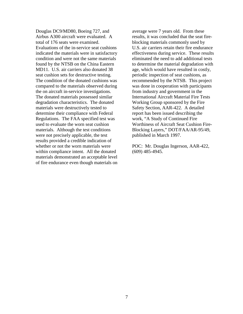Douglas DC9/MD80, Boeing 727, and Airbus A300 aircraft were evaluated. A total of 176 seats were examined. Evaluations of the in-service seat cushions indicated the materials were in satisfactory condition and were not the same materials found by the NTSB on the China Eastern MD11. U.S. air carriers also donated 38 seat cushion sets for destructive testing. The condition of the donated cushions was compared to the materials observed during the on aircraft in-service investigations. The donated materials possessed similar degradation characteristics. The donated materials were destructively tested to determine their compliance with Federal Regulations. The FAA specified test was used to evaluate the worn seat cushion materials. Although the test conditions were not precisely applicable, the test results provided a credible indication of whether or not the worn materials were within compliance intent. All the donated materials demonstrated an acceptable level of fire endurance even though materials on average were 7 years old. From these results, it was concluded that the seat fireblocking materials commonly used by U.S. air carriers retain their fire endurance effectiveness during service. These results eliminated the need to add additional tests to determine the material degradation with age, which would have resulted in costly, periodic inspection of seat cushions, as recommended by the NTSB. This project was done in cooperation with participants from industry and government in the International Aircraft Material Fire Tests Working Group sponsored by the Fire Safety Section, AAR-422. A detailed report has been issued describing the work, "A Study of Continued Fire Worthiness of Aircraft Seat Cushion Fire-Blocking Layers," DOT/FAA/AR-95/49, published in March 1997.

POC: Mr. Douglas Ingerson, AAR-422, (609) 485-4945.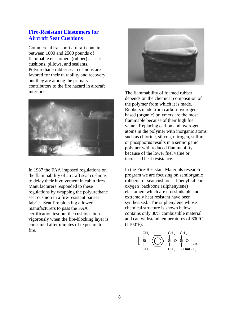### **Fire-Resistant Elastomers for Aircraft Seat Cushions**

Commercial transport aircraft contain between 1000 and 2500 pounds of flammable elastomers (rubber) as seat cushions, pillows, and sealants. Polyurethane rubber seat cushions are favored for their durability and recovery but they are among the primary contributors to the fire hazard in aircraft interiors.



In 1987 the FAA imposed regulations on the flammability of aircraft seat cushions to delay their involvement in cabin fires. Manufacturers responded to these regulations by wrapping the polyurethane seat cushion in a fire-resistant barrier fabric. Seat fire blocking allowed manufacturers to pass the FAA certification test but the cushions burn vigorously when the fire-blocking layer is consumed after minutes of exposure to a fire.



The flammability of foamed rubber depends on the chemical composition of the polymer from which it is made. Rubbers made from carbon-hydrogenbased (organic) polymers are the most flammable because of their high fuel value. Replacing carbon and hydrogen atoms in the polymer with inorganic atoms such as chlorine, silicon, nitrogen, sulfur, or phosphorus results in a semiorganic polymer with reduced flammability because of the lower fuel value or increased heat resistance.

In the Fire-Resistant Materials research program we are focusing on semiorganic rubbers for seat cushions. Phenyl-siliconoxygen backbone (silphenylene) elastomers which are crosslinkable and extremely heat resistant have been synthesized. The silphenylene whose chemical structure is shown below contains only 30% combustible material and can withstand temperatures of 600ºC (1100ºF).

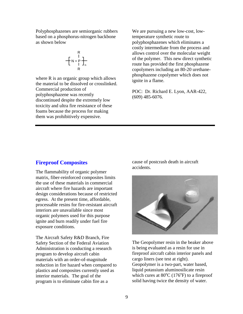Polyphosphazenes are semiorganic rubbers based on a phosphorus-nitrogen backbone as shown below

$$
R = \begin{bmatrix} R & 1 \\ 1 & 1 \\ 1 & 1 \end{bmatrix}
$$

where R is an organic group which allows the material to be dissolved or crosslinked. Commercial production of polyphosphazene was recently discontinued despite the extremely low toxicity and ultra fire resistance of these foams because the process for making them was prohibitively expensive.

We are pursuing a new low-cost, lowtemperature synthetic route to polyphosphazenes which eliminates a costly intermediate from the process and allows control over the molecular weight of the polymer. This new direct synthetic route has provided the first phosphazene copolymers including an 80-20 urethanephosphazene copolymer which does not ignite in a flame.

POC: Dr. Richard E. Lyon, AAR-422, (609) 485-6076.

#### **Fireproof Composites**

The flammability of organic polymer matrix, fiber-reinforced composites limits the use of these materials in commercial aircraft where fire hazards are important design considerations because of restricted egress. At the present time, affordable, processable resins for fire-resistant aircraft interiors are unavailable since most organic polymers used for this purpose ignite and burn readily under fuel fire exposure conditions.

The Aircraft Safety R&D Branch, Fire Safety Section of the Federal Aviation Administration is conducting a research program to develop aircraft cabin materials with an order-of-magnitude reduction in fire hazard when compared to plastics and composites currently used as interior materials. The goal of the program is to eliminate cabin fire as a

cause of postcrash death in aircraft accidents.



The Geopolymer resin in the beaker above is being evaluated as a resin for use in fireproof aircraft cabin interior panels and cargo liners (see test at right). Geopolymer is a two-part, water based, liquid potassium aluminosilicate resin which cures at  $80^{\circ}$ C (176 $^{\circ}$ F) to a fireproof solid having twice the density of water.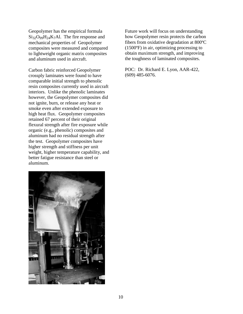Geopolymer has the empirical formula  $Si_{32}O_{99}H_{24}K_7Al$ . The fire response and mechanical properties of Geopolymer composites were measured and compared to lightweight organic matrix composites and aluminum used in aircraft.

Carbon fabric reinforced Geopolymer crossply laminates were found to have comparable initial strength to phenolic resin composites currently used in aircraft interiors. Unlike the phenolic laminates however, the Geopolymer composites did not ignite, burn, or release any heat or smoke even after extended exposure to high heat flux. Geopolymer composites retained 67 percent of their original flexural strength after fire exposure while organic (e.g., phenolic) composites and aluminum had no residual strength after the test. Geopolymer composites have higher strength and stiffness per unit weight, higher temperature capability, and better fatigue resistance than steel or aluminum.



Future work will focus on understanding how Geopolymer resin protects the carbon fibers from oxidative degradation at 800ºC (1500ºF) in air, optimizing processing to obtain maximum strength, and improving the toughness of laminated composites.

POC: Dr. Richard E. Lyon, AAR-422, (609) 485-6076.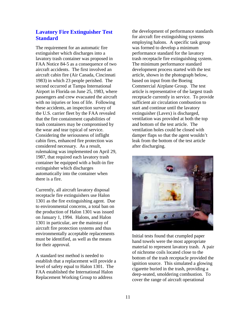# **Lavatory Fire Extinguisher Test Standard**

The requirement for an automatic fire extinguisher which discharges into a lavatory trash container was proposed in FAA Notice 84-5 as a consequence of two aircraft accidents. The first involved an aircraft cabin fire (Air Canada, Cincinnati 1983) in which 23 people perished. The second occurred at Tampa International Airport in Florida on June 25, 1983, where passengers and crew evacuated the aircraft with no injuries or loss of life. Following these accidents, an inspection survey of the U.S. carrier fleet by the FAA revealed that the fire containment capabilities of trash containers may be compromised by the wear and tear typical of service. Considering the seriousness of inflight cabin fires, enhanced fire protection was considered necessary. As a result, rulemaking was implemented on April 29, 1987, that required each lavatory trash container be equipped with a built-in fire extinguisher which discharges automatically into the container when there is a fire.

Currently, all aircraft lavatory disposal receptacle fire extinguishers use Halon 1301 as the fire extinguishing agent. Due to environmental concerns, a total ban on the production of Halon 1301 was issued on January 1, 1994. Halons, and Halon 1301 in particular, are the mainstay of aircraft fire protection systems and thus environmentally acceptable replacements must be identified, as well as the means for their approval.

A standard test method is needed to establish that a replacement will provide a level of safety equal to Halon 1301. The FAA established the International Halon Replacement Working Group to address

the development of performance standards for aircraft fire extinguishing systems employing halons. A specific task group was formed to develop a minimum performance standard for the lavatory trash receptacle fire extinguishing system. The minimum performance standard development process started with the test article, shown in the photograph below, based on input from the Boeing Commercial Airplane Group. The test article is representative of the largest trash receptacle currently in service. To provide sufficient air circulation combustion to start and continue until the lavatory extinguisher (Lavex) is discharged, ventilation was provided at both the top and bottom of the test article. The ventilation holes could be closed with damper flaps so that the agent wouldn't leak from the bottom of the test article after discharging.



Initial tests found that crumpled paper hand towels were the most appropriate material to represent lavatory trash. A pair of nichrome coils located close to the bottom of the trash receptacle provided the ignition source. This simulated a glowing cigarette buried in the trash, providing a deep-seated, smoldering combustion. To cover the range of aircraft operational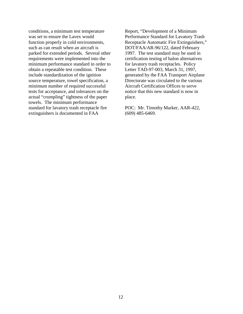conditions, a minimum test temperature was set to ensure the Lavex would function properly in cold environments, such as can result when an aircraft is parked for extended periods. Several other requirements were implemented into the minimum performance standard in order to obtain a repeatable test condition. These include standardization of the ignition source temperature, towel specification, a minimum number of required successful tests for acceptance, and tolerances on the actual "crumpling" tightness of the paper towels. The minimum performance standard for lavatory trash receptacle fire extinguishers is documented in FAA

Report, "Development of a Minimum Performance Standard for Lavatory Trash Receptacle Automatic Fire Extinguishers," DOT/FAA/AR-96/122, dated February 1997. The test standard may be used in certification testing of halon alternatives for lavatory trash receptacles. Policy Letter TAD-97-003, March 31, 1997, generated by the FAA Transport Airplane Directorate was circulated to the various Aircraft Certification Offices to serve notice that this new standard is now in place.

POC: Mr. Timothy Marker, AAR-422, (609) 485-6469.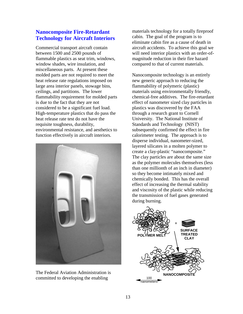# **Nanocomposite Fire-Retardant Technology for Aircraft Interiors**

Commercial transport aircraft contain between 1500 and 2500 pounds of flammable plastics as seat trim, windows, window shades, wire insulation, and miscellaneous parts. At present these molded parts are not required to meet the heat release rate regulations imposed on large area interior panels, stowage bins, ceilings, and partitions. The lower flammability requirement for molded parts is due to the fact that they are not considered to be a significant fuel load. High-temperature plastics that do pass the heat release rate test do not have the requisite toughness, durability, environmental resistance, and aesthetics to function effectively in aircraft interiors.



The Federal Aviation Administration is committed to developing the enabling

materials technology for a totally fireproof cabin. The goal of the program is to eliminate cabin fire as a cause of death in aircraft accidents. To achieve this goal we will need interior plastics with an order-ofmagnitude reduction in their fire hazard compared to that of current materials.

Nanocomposite technology is an entirely new generic approach to reducing the flammability of polymeric (plastic) materials using environmentally friendly, chemical-free additives. The fire-retardant effect of nanometer sized clay particles in plastics was discovered by the FAA through a research grant to Cornell University. The National Institute of Standards and Technology (NIST) subsequently confirmed the effect in fire calorimeter testing. The approach is to disperse individual, nanometer-sized, layered silicates in a molten polymer to create a clay-plastic "nanocomposite." The clay particles are about the same size as the polymer molecules themselves (less than one millionth of an inch in diameter) so they become intimately mixed and chemically bonded. This has the overall effect of increasing the thermal stability and viscosity of the plastic while reducing the transmission of fuel gases generated during burning.

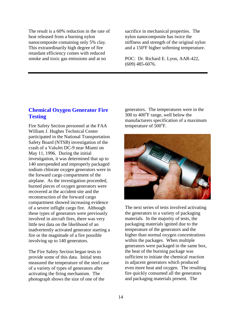The result is a 60% reduction in the rate of heat released from a burning nylon nanocomposite containing only 5% clay. This extraordinarily high degree of fire retardant efficiency comes with reduced smoke and toxic gas emissions and at no

sacrifice in mechanical properties. The nylon nanocomposite has twice the stiffness and strength of the original nylon and a 150ºF higher softening temperature.

POC: Dr. Richard E. Lyon, AAR-422, (609) 485-6076.

## **Chemical Oxygen Generator Fire Testing**

Fire Safety Section personnel at the FAA William J. Hughes Technical Center participated in the National Transportation Safety Board (NTSB) investigation of the crash of a ValuJet DC-9 near Miami on May 11, 1996. During the initial investigation, it was determined that up to 140 unexpended and improperly packaged sodium chlorate oxygen generators were in the forward cargo compartment of the airplane. As the investigation proceeded, burned pieces of oxygen generators were recovered at the accident site and the reconstruction of the forward cargo compartment showed increasing evidence of a severe inflight cargo fire. Although these types of generators were previously involved in aircraft fires, there was very little test data on the likelihood of an inadvertently activated generator starting a fire or the magnitude of a fire possible involving up to 140 generators.

The Fire Safety Section began tests to provide some of this data. Initial tests measured the temperature of the steel case of a variety of types of generators after activating the firing mechanism. The photograph shows the size of one of the

generators. The temperatures were in the 300 to 400°F range, well below the manufacturers specification of a maximum temperature of  $500^{\circ}$ F.



The next series of tests involved activating the generators in a variety of packaging materials. In the majority of tests, the packaging materials ignited due to the temperature of the generators and the higher than normal oxygen concentrations within the packages. When multiple generators were packaged in the same box, the heat of the burning package was sufficient to initiate the chemical reaction in adjacent generators which produced even more heat and oxygen. The resulting fire quickly consumed all the generators and packaging materials present. The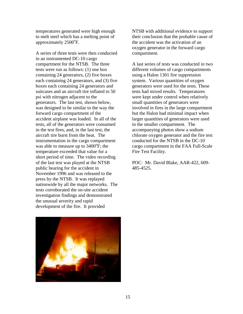temperatures generated were high enough to melt steel which has a melting point of approximately 2500°F.

A series of three tests were then conducted in an instrumented DC-10 cargo compartment for the NTSB. The three tests were run as follows: (1) one box containing 24 generators, (2) five boxes each containing 24 generators, and (3) five boxes each containing 24 generators and suitcases and an aircraft tire inflated to 50 psi with nitrogen adjacent to the generators. The last test, shown below, was designed to be similar to the way the forward cargo compartment of the accident airplane was loaded. In all of the tests, all of the generators were consumed in the test fires, and, in the last test, the aircraft tire burst from the heat. The instrumentation in the cargo compartment was able to measure up to  $3400^{\circ}$ F; the temperature exceeded that value for a short period of time. The video recording of the last test was played at the NTSB public hearing for the accident in November 1996 and was released to the press by the NTSB. It was replayed nationwide by all the major networks. The tests corroborated the on-site accident investigation findings and demonstrated the unusual severity and rapid development of the fire. It provided

NTSB with additional evidence to support their conclusion that the probable cause of the accident was the activation of an oxygen generator in the forward cargo compartment.

A last series of tests was conducted in two different volumes of cargo compartments using a Halon 1301 fire suppression system. Various quantities of oxygen generators were used for the tests. These tests had mixed results. Temperatures were kept under control when relatively small quantities of generators were involved in fires in the large compartment but the Halon had minimal impact when larger quantities of generators were used in the smaller compartment. The accompanying photos show a sodium chlorate oxygen generator and the fire test conducted for the NTSB in the DC-10 cargo compartment in the FAA Full-Scale Fire Test Facility.

POC: Mr. David Blake, AAR-422, 609- 485-4525.

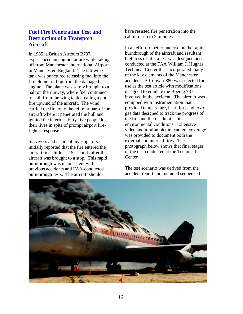## **Fuel Fire Penetration Test and Destruction of a Transport Aircraft**

In 1985, a British Airtours B737 experienced an engine failure while taking off from Manchester International Airport in Manchester, England. The left wing tank was punctured releasing fuel into the fire plume trailing from the damaged engine. The plane was safely brought to a halt on the runway, where fuel continued to spill from the wing tank creating a pool fire upwind of the aircraft. The wind carried the fire onto the left rear part of the aircraft where it penetrated the hull and ignited the interior. Fifty-five people lost their lives in spite of prompt airport firefighter response.

Survivors and accident investigators initially reported that the fire entered the aircraft in as little as 15 seconds after the aircraft was brought to a stop. This rapid burnthrough was inconsistent with previous accidents and FAA-conducted burnthrough tests. The aircraft should

have resisted fire penetration into the cabin for up to 2 minutes.

In an effort to better understand the rapid burnthrough of the aircraft and resultant high loss of life, a test was designed and conducted at the FAA William J. Hughes Technical Center that incorporated many of the key elements of the Manchester accident. A Convair 880 was selected for use as the test article with modifications designed to emulate the Boeing 737 involved in the accident. The aircraft was equipped with instrumentation that provided temperature, heat flux, and toxic gas data designed to track the progress of the fire and the resultant cabin environmental conditions. Extensive video and motion picture camera coverage was provided to document both the external and internal fires. The photograph below shows that final stages of the test conducted at the Technical Center.

The test scenario was derived from the accident report and included sequenced